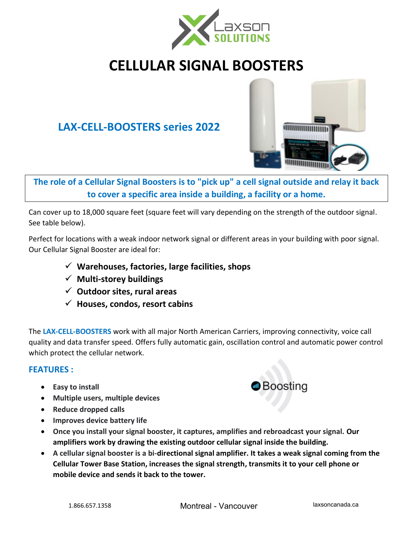

# **CELLULAR SIGNAL BOOSTERS**

# **LAX-CELL-BOOSTERS series 2022**



**The role of a Cellular Signal Boosters is to "pick up" a cell signal outside and relay it back to cover a specific area inside a building, a facility or a home.**

Can cover up to 18,000 square feet (square feet will vary depending on the strength of the outdoor signal. See table below).

Perfect for locations with a weak indoor network signal or different areas in your building with poor signal. Our Cellular Signal Booster are ideal for:

- ✓ **Warehouses, factories, large facilities, shops**
- ✓ **Multi-storey buildings**
- ✓ **Outdoor sites, rural areas**
- ✓ **Houses, condos, resort cabins**

The **LAX-CELL-BOOSTERS** work with all major North American Carriers, improving connectivity, voice call quality and data transfer speed. Offers fully automatic gain, oscillation control and automatic power control which protect the cellular network.

### **FEATURES :**

- **Easy to install**
- **Multiple users, multiple devices**
- **Reduce dropped calls**
- **Improves device battery life**
- **Once you install your signal booster, it captures, amplifies and rebroadcast your signal. Our amplifiers work by drawing the existing outdoor cellular signal inside the building.**
- **A cellular signal booster is a bi-directional signal amplifier. It takes a weak signal coming from the Cellular Tower Base Station, increases the signal strength, transmits it to your cell phone or mobile device and sends it back to the tower.**